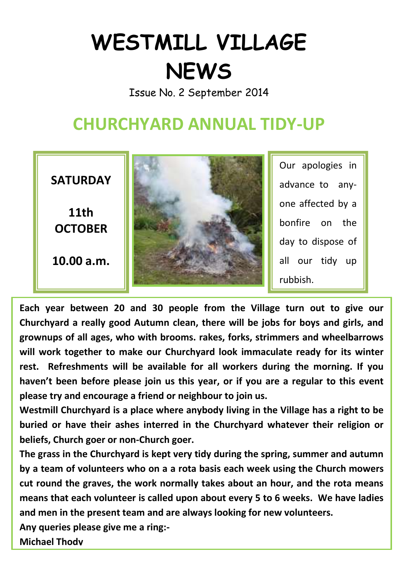## **WESTMILL VILLAGE NEWS**

Issue No. 2 September 2014

## **CHURCHYARD ANNUAL TIDY-UP**



**Each year between 20 and 30 people from the Village turn out to give our Churchyard a really good Autumn clean, there will be jobs for boys and girls, and grownups of all ages, who with brooms. rakes, forks, strimmers and wheelbarrows will work together to make our Churchyard look immaculate ready for its winter rest. Refreshments will be available for all workers during the morning. If you haven't been before please join us this year, or if you are a regular to this event please try and encourage a friend or neighbour to join us.**

**Westmill Churchyard is a place where anybody living in the Village has a right to be buried or have their ashes interred in the Churchyard whatever their religion or beliefs, Church goer or non-Church goer.** 

**The grass in the Churchyard is kept very tidy during the spring, summer and autumn by a team of volunteers who on a a rota basis each week using the Church mowers cut round the graves, the work normally takes about an hour, and the rota means means that each volunteer is called upon about every 5 to 6 weeks. We have ladies and men in the present team and are always looking for new volunteers.** 

**Any queries please give me a ring:-**

**Michael Thody**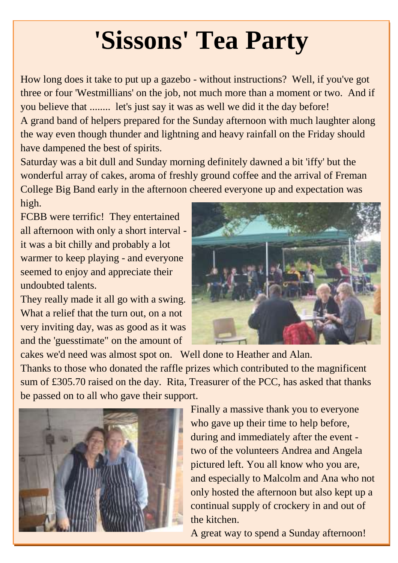# **'Sissons' Tea Party**

How long does it take to put up a gazebo - without instructions? Well, if you've got three or four 'Westmillians' on the job, not much more than a moment or two. And if you believe that ........ let's just say it was as well we did it the day before! A grand band of helpers prepared for the Sunday afternoon with much laughter along the way even though thunder and lightning and heavy rainfall on the Friday should have dampened the best of spirits.

Saturday was a bit dull and Sunday morning definitely dawned a bit 'iffy' but the wonderful array of cakes, aroma of freshly ground coffee and the arrival of Freman College Big Band early in the afternoon cheered everyone up and expectation was high.

FCBB were terrific! They entertained all afternoon with only a short interval it was a bit chilly and probably a lot warmer to keep playing - and everyone seemed to enjoy and appreciate their undoubted talents.

They really made it all go with a swing. What a relief that the turn out, on a not very inviting day, was as good as it was and the 'guesstimate" on the amount of



cakes we'd need was almost spot on. Well done to Heather and Alan. Thanks to those who donated the raffle prizes which contributed to the magnificent sum of £305.70 raised on the day. Rita, Treasurer of the PCC, has asked that thanks be passed on to all who gave their support.



Finally a massive thank you to everyone who gave up their time to help before, during and immediately after the event two of the volunteers Andrea and Angela pictured left. You all know who you are, and especially to Malcolm and Ana who not only hosted the afternoon but also kept up a continual supply of crockery in and out of the kitchen.

A great way to spend a Sunday afternoon!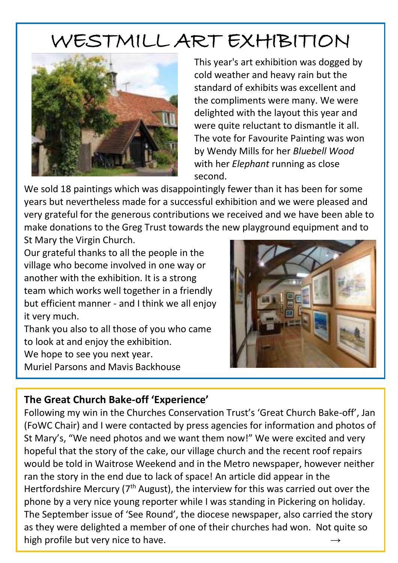## WESTMILL ART EXHIBITION



This year's art exhibition was dogged by cold weather and heavy rain but the standard of exhibits was excellent and the compliments were many. We were delighted with the layout this year and were quite reluctant to dismantle it all. The vote for Favourite Painting was won by Wendy Mills for her *Bluebell Wood*  with her *Elephant* running as close second.

We sold 18 paintings which was disappointingly fewer than it has been for some years but nevertheless made for a successful exhibition and we were pleased and very grateful for the generous contributions we received and we have been able to make donations to the Greg Trust towards the new playground equipment and to St Mary the Virgin Church.

Our grateful thanks to all the people in the village who become involved in one way or another with the exhibition. It is a strong team which works well together in a friendly but efficient manner - and I think we all enjoy it very much.

Thank you also to all those of you who came to look at and enjoy the exhibition.

We hope to see you next year.

Muriel Parsons and Mavis Backhouse



#### **The Great Church Bake-off 'Experience'**

Following my win in the Churches Conservation Trust's 'Great Church Bake-off', Jan (FoWC Chair) and I were contacted by press agencies for information and photos of St Mary's, "We need photos and we want them now!" We were excited and very hopeful that the story of the cake, our village church and the recent roof repairs would be told in Waitrose Weekend and in the Metro newspaper, however neither ran the story in the end due to lack of space! An article did appear in the Hertfordshire Mercury (7<sup>th</sup> August), the interview for this was carried out over the phone by a very nice young reporter while I was standing in Pickering on holiday. The September issue of 'See Round', the diocese newspaper, also carried the story as they were delighted a member of one of their churches had won. Not quite so high profile but very nice to have. **→**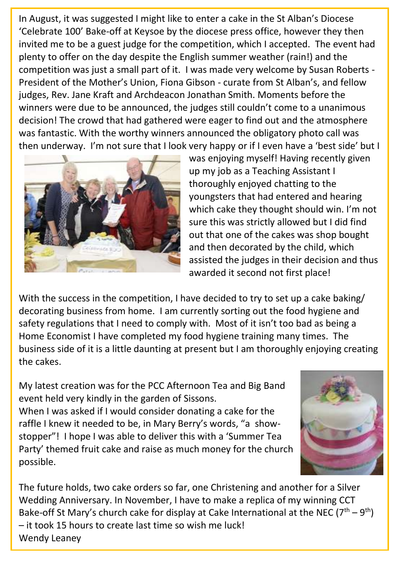In August, it was suggested I might like to enter a cake in the St Alban's Diocese 'Celebrate 100' Bake-off at Keysoe by the diocese press office, however they then invited me to be a guest judge for the competition, which I accepted. The event had plenty to offer on the day despite the English summer weather (rain!) and the competition was just a small part of it. I was made very welcome by Susan Roberts - President of the Mother's Union, Fiona Gibson - curate from St Alban's, and fellow judges, Rev. Jane Kraft and Archdeacon Jonathan Smith. Moments before the winners were due to be announced, the judges still couldn't come to a unanimous decision! The crowd that had gathered were eager to find out and the atmosphere was fantastic. With the worthy winners announced the obligatory photo call was then underway. I'm not sure that I look very happy or if I even have a 'best side' but I



was enjoying myself! Having recently given up my job as a Teaching Assistant I thoroughly enjoyed chatting to the youngsters that had entered and hearing which cake they thought should win. I'm not sure this was strictly allowed but I did find out that one of the cakes was shop bought and then decorated by the child, which assisted the judges in their decision and thus awarded it second not first place!

With the success in the competition, I have decided to try to set up a cake baking/ decorating business from home. I am currently sorting out the food hygiene and safety regulations that I need to comply with. Most of it isn't too bad as being a Home Economist I have completed my food hygiene training many times. The business side of it is a little daunting at present but I am thoroughly enjoying creating the cakes.

My latest creation was for the PCC Afternoon Tea and Big Band event held very kindly in the garden of Sissons. When I was asked if I would consider donating a cake for the raffle I knew it needed to be, in Mary Berry's words, "a showstopper"! I hope I was able to deliver this with a 'Summer Tea Party' themed fruit cake and raise as much money for the church possible.



The future holds, two cake orders so far, one Christening and another for a Silver Wedding Anniversary. In November, I have to make a replica of my winning CCT Bake-off St Mary's church cake for display at Cake International at the NEC ( $7<sup>th</sup> - 9<sup>th</sup>$ ) – it took 15 hours to create last time so wish me luck! Wendy Leaney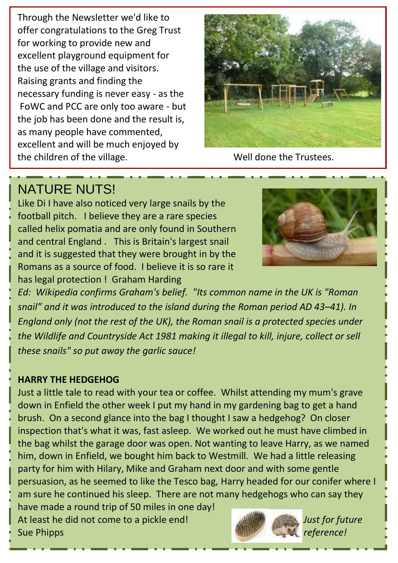Through the Newsletter we'd like to offer congratulations to the Greg Trust for working to provide new and excellent playground equipment for the use of the village and visitors. Raising grants and finding the necessary funding is never easy - as the FoWC and PCC are only too aware - but the job has been done and the result is, as many people have commented, excellent and will be much enjoyed by the children of the village. Well done the Trustees.



### NATURE NUTS!

Like Di I have also noticed very large snails by the football pitch. I believe they are a rare species called helix pomatia and are only found in Southern and central England . This is Britain's largest snail and it is suggested that they were brought in by the Romans as a source of food. I believe it is so rare it has legal protection ! Graham Harding



*Ed: Wikipedia confirms Graham's belief. "Its common name in the UK is "Roman snail" and it was introduced to the island during the Roman period AD 43–41). In England only (not the rest of the UK), the Roman snail is a protected species under the Wildlife and Countryside Act 1981 making it illegal to kill, injure, collect or sell these snails" so put away the garlic sauce!*

#### **HARRY THE HEDGEHOG**

Just a little tale to read with your tea or coffee. Whilst attending my mum's grave down in Enfield the other week I put my hand in my gardening bag to get a hand brush. On a second glance into the bag I thought I saw a hedgehog? On closer inspection that's what it was, fast asleep. We worked out he must have climbed in the bag whilst the garage door was open. Not wanting to leave Harry, as we named him, down in Enfield, we bought him back to Westmill. We had a little releasing party for him with Hilary, Mike and Graham next door and with some gentle persuasion, as he seemed to like the Tesco bag, Harry headed for our conifer where I am sure he continued his sleep. There are not many hedgehogs who can say they have made a round trip of 50 miles in one day!

At least he did not come to a pickle end! *Just for future* Sue Phipps *reference!*

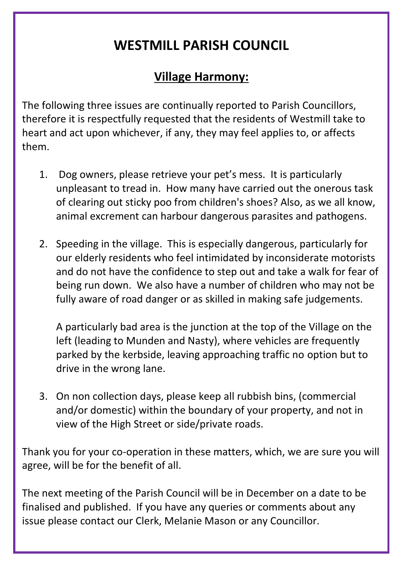## **WESTMILL PARISH COUNCIL**

### **Village Harmony:**

The following three issues are continually reported to Parish Councillors, therefore it is respectfully requested that the residents of Westmill take to heart and act upon whichever, if any, they may feel applies to, or affects them.

- 1. Dog owners, please retrieve your pet's mess. It is particularly unpleasant to tread in. How many have carried out the onerous task of clearing out sticky poo from children's shoes? Also, as we all know, animal excrement can harbour dangerous parasites and pathogens.
- 2. Speeding in the village. This is especially dangerous, particularly for our elderly residents who feel intimidated by inconsiderate motorists and do not have the confidence to step out and take a walk for fear of being run down. We also have a number of children who may not be fully aware of road danger or as skilled in making safe judgements.

A particularly bad area is the junction at the top of the Village on the left (leading to Munden and Nasty), where vehicles are frequently parked by the kerbside, leaving approaching traffic no option but to drive in the wrong lane.

3. On non collection days, please keep all rubbish bins, (commercial and/or domestic) within the boundary of your property, and not in view of the High Street or side/private roads.

Thank you for your co-operation in these matters, which, we are sure you will agree, will be for the benefit of all.

The next meeting of the Parish Council will be in December on a date to be finalised and published. If you have any queries or comments about any issue please contact our Clerk, Melanie Mason or any Councillor.